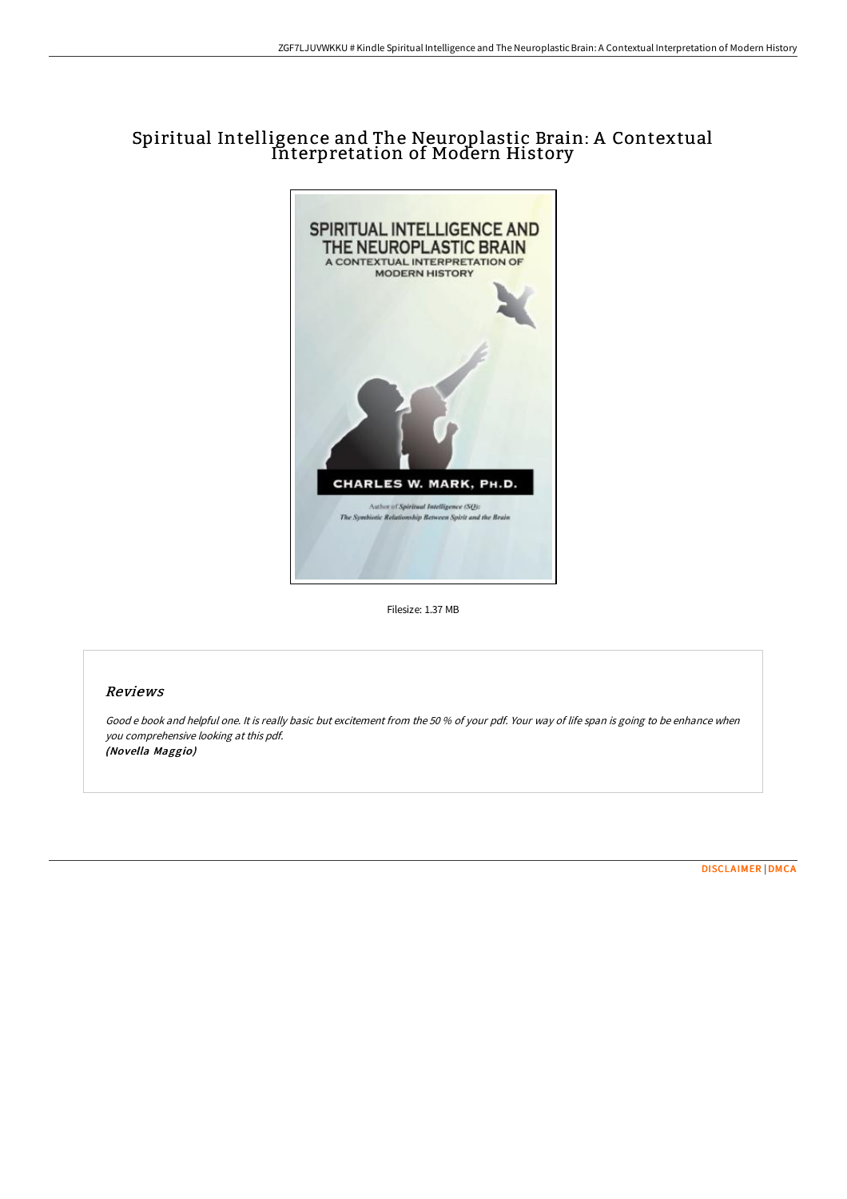# Spiritual Intelligence and The Neuroplastic Brain: A Contextual Interpretation of Modern History



Filesize: 1.37 MB

## Reviews

Good <sup>e</sup> book and helpful one. It is really basic but excitement from the <sup>50</sup> % of your pdf. Your way of life span is going to be enhance when you comprehensive looking at this pdf. (Novella Maggio)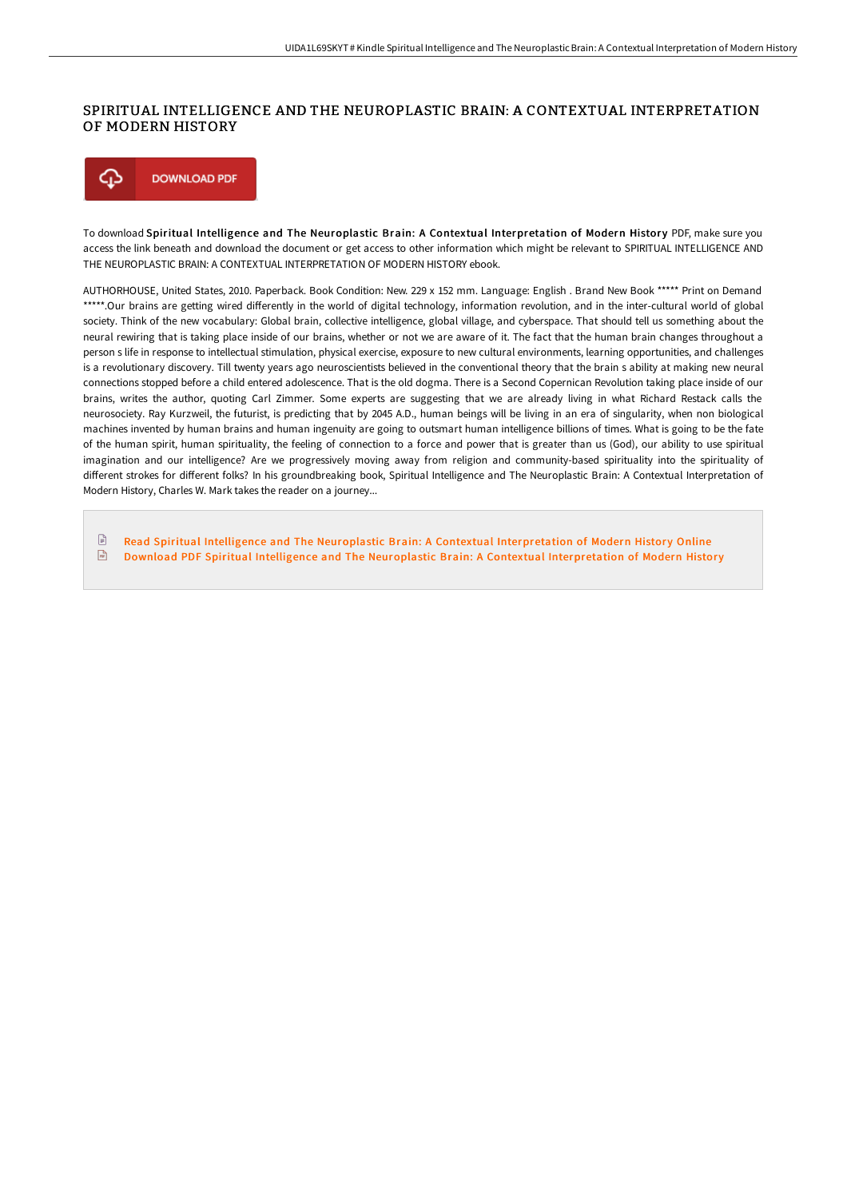### SPIRITUAL INTELLIGENCE AND THE NEUROPLASTIC BRAIN: A CONTEXTUAL INTERPRETATION OF MODERN HISTORY



To download Spiritual Intelligence and The Neuroplastic Brain: A Contextual Interpretation of Modern History PDF, make sure you access the link beneath and download the document or get access to other information which might be relevant to SPIRITUAL INTELLIGENCE AND THE NEUROPLASTIC BRAIN: A CONTEXTUAL INTERPRETATION OF MODERN HISTORY ebook.

AUTHORHOUSE, United States, 2010. Paperback. Book Condition: New. 229 x 152 mm. Language: English . Brand New Book \*\*\*\*\* Print on Demand \*\*\*\*\*.Our brains are getting wired differently in the world of digital technology, information revolution, and in the inter-cultural world of global society. Think of the new vocabulary: Global brain, collective intelligence, global village, and cyberspace. That should tell us something about the neural rewiring that is taking place inside of our brains, whether or not we are aware of it. The fact that the human brain changes throughout a person s life in response to intellectual stimulation, physical exercise, exposure to new cultural environments, learning opportunities, and challenges is a revolutionary discovery. Till twenty years ago neuroscientists believed in the conventional theory that the brain s ability at making new neural connections stopped before a child entered adolescence. That is the old dogma. There is a Second Copernican Revolution taking place inside of our brains, writes the author, quoting Carl Zimmer. Some experts are suggesting that we are already living in what Richard Restack calls the neurosociety. Ray Kurzweil, the futurist, is predicting that by 2045 A.D., human beings will be living in an era of singularity, when non biological machines invented by human brains and human ingenuity are going to outsmart human intelligence billions of times. What is going to be the fate of the human spirit, human spirituality, the feeling of connection to a force and power that is greater than us (God), our ability to use spiritual imagination and our intelligence? Are we progressively moving away from religion and community-based spirituality into the spirituality of different strokes for different folks? In his groundbreaking book, Spiritual Intelligence and The Neuroplastic Brain: A Contextual Interpretation of Modern History, Charles W. Mark takes the reader on a journey...

 $\boxed{=}$ Read Spiritual Intelligence and The Neuroplastic Brain: A Contextual [Interpretation](http://www.bookdirs.com/spiritual-intelligence-and-the-neuroplastic-brai-1.html) of Modern History Online  $\sqrt{m}$ Download PDF Spiritual Intelligence and The Neuroplastic Brain: A Contextual [Interpretation](http://www.bookdirs.com/spiritual-intelligence-and-the-neuroplastic-brai-1.html) of Modern History